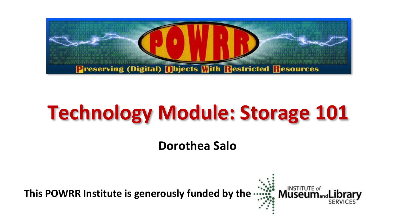

# **Technology Module: Storage 101**

**Dorothea Salo**

**This POWRR Institute is generously funded by the**

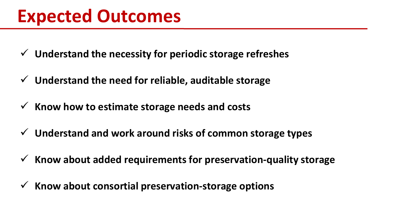- **Understand the necessity for periodic storage refreshes**
- **Understand the need for reliable, auditable storage**
- $\checkmark$  Know how to estimate storage needs and costs
- **Understand and work around risks of common storage types**
- **Know about added requirements for preservation-quality storage**
- **Know about consortial preservation-storage options**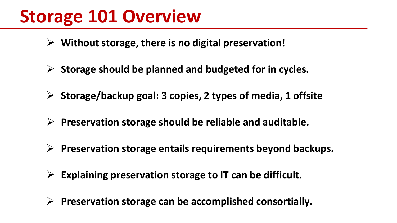### **Storage 101 Overview**

- **Without storage, there is no digital preservation!**
- **Storage should be planned and budgeted for in cycles.**
- **Storage/backup goal: 3 copies, 2 types of media, 1 offsite**
- **Preservation storage should be reliable and auditable.**
- **Preservation storage entails requirements beyond backups.**
- **Explaining preservation storage to IT can be difficult.**
- **Preservation storage can be accomplished consortially.**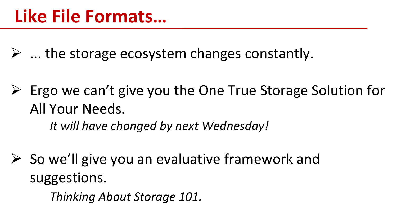$\triangleright$  ... the storage ecosystem changes constantly.

 Ergo we can't give you the One True Storage Solution for All Your Needs. *It will have changed by next Wednesday!*

 So we'll give you an evaluative framework and suggestions.

*Thinking About Storage 101.*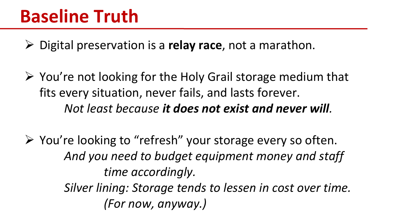Digital preservation is a **relay race**, not a marathon.

 $\triangleright$  You're not looking for the Holy Grail storage medium that fits every situation, never fails, and lasts forever. *Not least because it does not exist and never will.*

 $\triangleright$  You're looking to "refresh" your storage every so often. *And you need to budget equipment money and staff time accordingly. Silver lining: Storage tends to lessen in cost over time. (For now, anyway.)*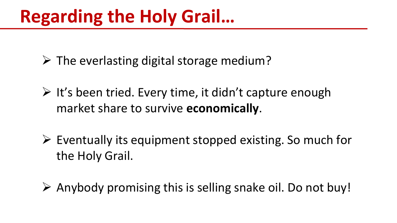### **Regarding the Holy Grail…**

- $\triangleright$  The everlasting digital storage medium?
- $\triangleright$  It's been tried. Every time, it didn't capture enough market share to survive **economically**.
- $\triangleright$  Eventually its equipment stopped existing. So much for the Holy Grail.
- $\triangleright$  Anybody promising this is selling snake oil. Do not buy!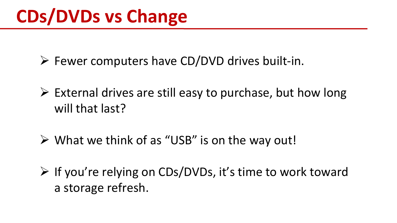$\triangleright$  Fewer computers have CD/DVD drives built-in.

- $\triangleright$  External drives are still easy to purchase, but how long will that last?
- $\triangleright$  What we think of as "USB" is on the way out!
- $\triangleright$  If you're relying on CDs/DVDs, it's time to work toward a storage refresh.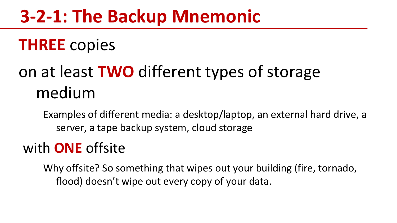### **3-2-1: The Backup Mnemonic**

### **THREE** copies

### on at least **TWO** different types of storage medium

Examples of different media: a desktop/laptop, an external hard drive, a server, a tape backup system, cloud storage

### with **ONE** offsite

Why offsite? So something that wipes out your building (fire, tornado, flood) doesn't wipe out every copy of your data.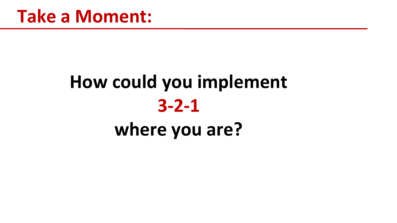# **How could you implement 3-2-1 where you are?**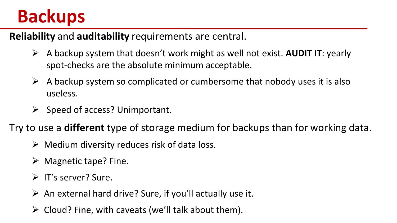### **Backups**

**Reliability** and **auditability** requirements are central.

- A backup system that doesn't work might as well not exist. **AUDIT IT**: yearly spot-checks are the absolute minimum acceptable.
- $\triangleright$  A backup system so complicated or cumbersome that nobody uses it is also useless.
- $\triangleright$  Speed of access? Unimportant.

Try to use a **different** type of storage medium for backups than for working data.

- $\triangleright$  Medium diversity reduces risk of data loss.
- $\triangleright$  Magnetic tape? Fine.
- $\triangleright$  IT's server? Sure.
- $\triangleright$  An external hard drive? Sure, if you'll actually use it.
- $\triangleright$  Cloud? Fine, with caveats (we'll talk about them).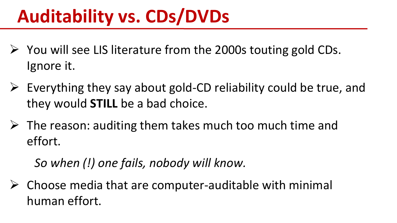## **Auditability vs. CDs/DVDs**

- $\triangleright$  You will see LIS literature from the 2000s touting gold CDs. Ignore it.
- $\triangleright$  Everything they say about gold-CD reliability could be true, and they would **STILL** be a bad choice.
- $\triangleright$  The reason: auditing them takes much too much time and effort.

*So when (!) one fails, nobody will know.*

 $\triangleright$  Choose media that are computer-auditable with minimal human effort.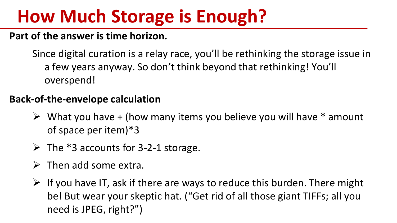### **How Much Storage is Enough?**

#### **Part of the answer is time horizon.**

Since digital curation is a relay race, you'll be rethinking the storage issue in a few years anyway. So don't think beyond that rethinking! You'll overspend!

#### **Back-of-the-envelope calculation**

- $\triangleright$  What you have + (how many items you believe you will have  $*$  amount of space per item)\*3
- $\triangleright$  The \*3 accounts for 3-2-1 storage.
- $\triangleright$  Then add some extra.
- $\triangleright$  If you have IT, ask if there are ways to reduce this burden. There might be! But wear your skeptic hat. ("Get rid of all those giant TIFFs; all you need is JPEG, right?")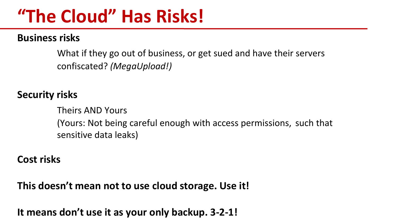### **"The Cloud" Has Risks!**

#### **Business risks**

What if they go out of business, or get sued and have their servers confiscated? *(MegaUpload!)*

#### **Security risks**

Theirs AND Yours (Yours: Not being careful enough with access permissions, such that sensitive data leaks)

#### **Cost risks**

**This doesn't mean not to use cloud storage. Use it!**

**It means don't use it as your only backup. 3-2-1!**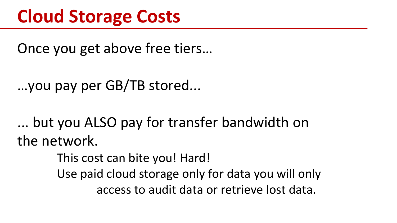### **Cloud Storage Costs**

Once you get above free tiers…

```
…you pay per GB/TB stored...
```
... but you ALSO pay for transfer bandwidth on the network.

This cost can bite you! Hard!

Use paid cloud storage only for data you will only access to audit data or retrieve lost data.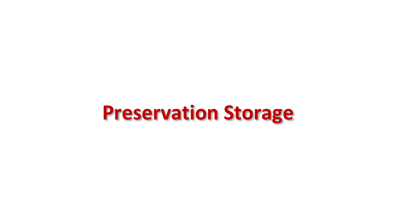## **Preservation Storage**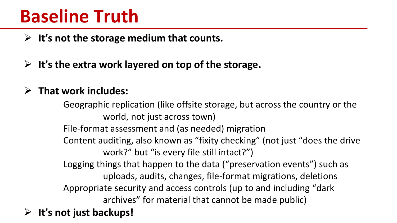### **Baseline Truth**

**It's not the storage medium that counts.**

**It's the extra work layered on top of the storage.**

#### **That work includes:**

Geographic replication (like offsite storage, but across the country or the world, not just across town) File-format assessment and (as needed) migration Content auditing, also known as "fixity checking" (not just "does the drive work?" but "is every file still intact?") Logging things that happen to the data ("preservation events") such as uploads, audits, changes, file-format migrations, deletions Appropriate security and access controls (up to and including "dark archives" for material that cannot be made public) **It's not just backups!**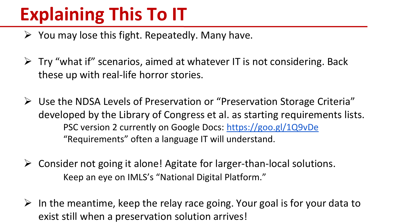## **Explaining This To IT**

- $\triangleright$  You may lose this fight. Repeatedly. Many have.
- $\triangleright$  Try "what if" scenarios, aimed at whatever IT is not considering. Back these up with real-life horror stories.
- Use the NDSA Levels of Preservation or "Preservation Storage Criteria" developed by the Library of Congress et al. as starting requirements lists. PSC version 2 currently on Google Docs: <https://goo.gl/1Q9vDe> "Requirements" often a language IT will understand.
- $\triangleright$  Consider not going it alone! Agitate for larger-than-local solutions. Keep an eye on IMLS's "National Digital Platform."
- $\triangleright$  In the meantime, keep the relay race going. Your goal is for your data to exist still when a preservation solution arrives!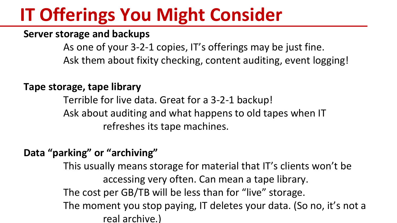### **IT Offerings You Might Consider**

#### **Server storage and backups**

As one of your 3-2-1 copies, IT's offerings may be just fine. Ask them about fixity checking, content auditing, event logging!

#### **Tape storage, tape library**

Terrible for live data. Great for a 3-2-1 backup! Ask about auditing and what happens to old tapes when IT refreshes its tape machines.

#### **Data "parking" or "archiving"**

This usually means storage for material that IT's clients won't be accessing very often. Can mean a tape library. The cost per GB/TB will be less than for "live" storage. The moment you stop paying, IT deletes your data. (So no, it's not a real archive.)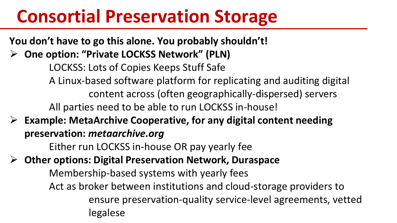### **Consortial Preservation Storage**

**You don't have to go this alone. You probably shouldn't!**

**One option: "Private LOCKSS Network" (PLN)**

LOCKSS: Lots of Copies Keeps Stuff Safe A Linux-based software platform for replicating and auditing digital content across (often geographically-dispersed) servers All parties need to be able to run LOCKSS in-house!

 **Example: MetaArchive Cooperative, for any digital content needing preservation:** *metaarchive.org*

Either run LOCKSS in-house OR pay yearly fee

**Other options: Digital Preservation Network, Duraspace**

Membership-based systems with yearly fees

Act as broker between institutions and cloud-storage providers to ensure preservation-quality service-level agreements, vetted legalese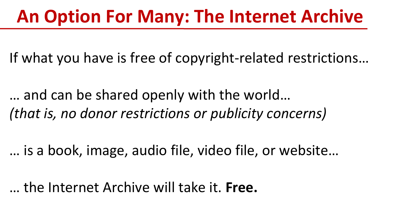### **An Option For Many: The Internet Archive**

If what you have is free of copyright-related restrictions…

… and can be shared openly with the world… *(that is, no donor restrictions or publicity concerns)*

… is a book, image, audio file, video file, or website…

… the Internet Archive will take it. **Free.**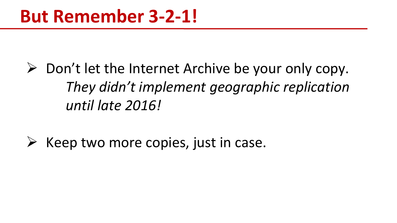$\triangleright$  Don't let the Internet Archive be your only copy. *They didn't implement geographic replication until late 2016!*

 $\triangleright$  Keep two more copies, just in case.